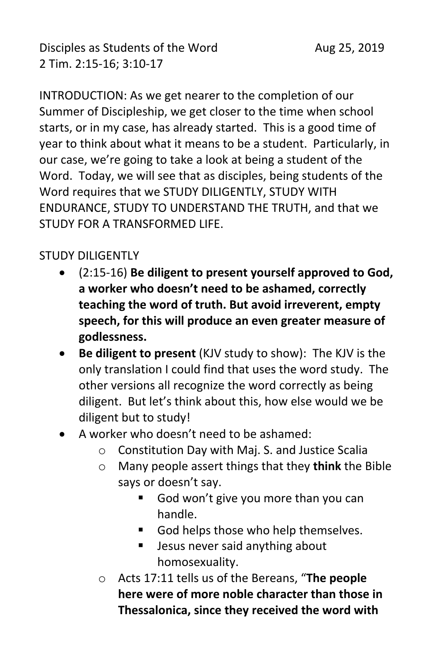INTRODUCTION: As we get nearer to the completion of our Summer of Discipleship, we get closer to the time when school starts, or in my case, has already started. This is a good time of year to think about what it means to be a student. Particularly, in our case, we're going to take a look at being a student of the Word. Today, we will see that as disciples, being students of the Word requires that we STUDY DILIGENTLY, STUDY WITH ENDURANCE, STUDY TO UNDERSTAND THE TRUTH, and that we STUDY FOR A TRANSFORMED LIFE.

#### STUDY DILIGENTLY

- (2:15-16) **Be diligent to present yourself approved to God, a worker who doesn't need to be ashamed, correctly teaching the word of truth. But avoid irreverent, empty speech, for this will produce an even greater measure of godlessness.**
- **Be diligent to present** (KJV study to show): The KJV is the only translation I could find that uses the word study. The other versions all recognize the word correctly as being diligent. But let's think about this, how else would we be diligent but to study!
- A worker who doesn't need to be ashamed:
	- o Constitution Day with Maj. S. and Justice Scalia
	- o Many people assert things that they **think** the Bible says or doesn't say.
		- God won't give you more than you can handle.
		- God helps those who help themselves.
		- Jesus never said anything about homosexuality.
	- o Acts 17:11 tells us of the Bereans, "**The people here were of more noble character than those in Thessalonica, since they received the word with**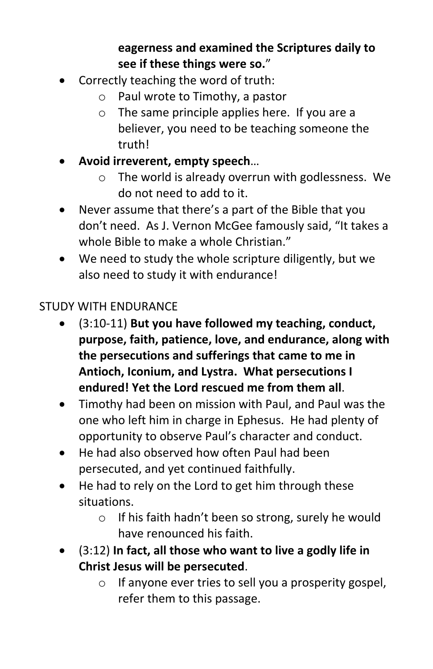# **eagerness and examined the Scriptures daily to see if these things were so.**"

- Correctly teaching the word of truth:
	- o Paul wrote to Timothy, a pastor
	- o The same principle applies here. If you are a believer, you need to be teaching someone the truth!
- **Avoid irreverent, empty speech**…
	- o The world is already overrun with godlessness. We do not need to add to it.
- Never assume that there's a part of the Bible that you don't need. As J. Vernon McGee famously said, "It takes a whole Bible to make a whole Christian."
- We need to study the whole scripture diligently, but we also need to study it with endurance!

# STUDY WITH ENDURANCE

- (3:10-11) **But you have followed my teaching, conduct, purpose, faith, patience, love, and endurance, along with the persecutions and sufferings that came to me in Antioch, Iconium, and Lystra. What persecutions I endured! Yet the Lord rescued me from them all**.
- Timothy had been on mission with Paul, and Paul was the one who left him in charge in Ephesus. He had plenty of opportunity to observe Paul's character and conduct.
- He had also observed how often Paul had been persecuted, and yet continued faithfully.
- He had to rely on the Lord to get him through these situations.
	- o If his faith hadn't been so strong, surely he would have renounced his faith.
- (3:12) **In fact, all those who want to live a godly life in Christ Jesus will be persecuted**.
	- o If anyone ever tries to sell you a prosperity gospel, refer them to this passage.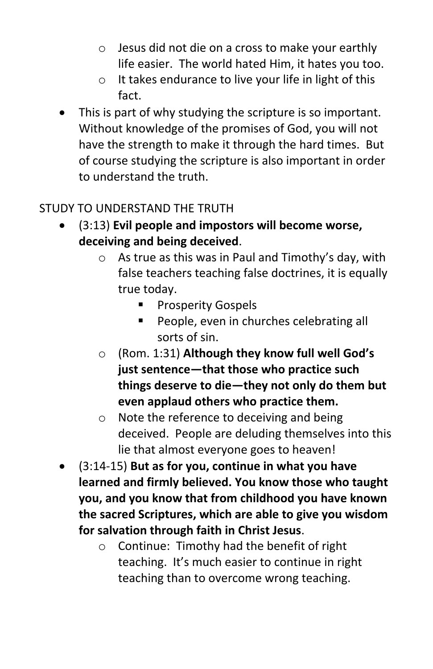- o Jesus did not die on a cross to make your earthly life easier. The world hated Him, it hates you too.
- o It takes endurance to live your life in light of this fact.
- This is part of why studying the scripture is so important. Without knowledge of the promises of God, you will not have the strength to make it through the hard times. But of course studying the scripture is also important in order to understand the truth.

### STUDY TO UNDERSTAND THE TRUTH

- (3:13) **Evil people and impostors will become worse, deceiving and being deceived**.
	- o As true as this was in Paul and Timothy's day, with false teachers teaching false doctrines, it is equally true today.
		- Prosperity Gospels
		- People, even in churches celebrating all sorts of sin.
	- o (Rom. 1:31) **Although they know full well God's just sentence—that those who practice such things deserve to die—they not only do them but even applaud others who practice them.**
	- o Note the reference to deceiving and being deceived. People are deluding themselves into this lie that almost everyone goes to heaven!
- (3:14-15) **But as for you, continue in what you have learned and firmly believed. You know those who taught you, and you know that from childhood you have known the sacred Scriptures, which are able to give you wisdom for salvation through faith in Christ Jesus**.
	- o Continue: Timothy had the benefit of right teaching. It's much easier to continue in right teaching than to overcome wrong teaching.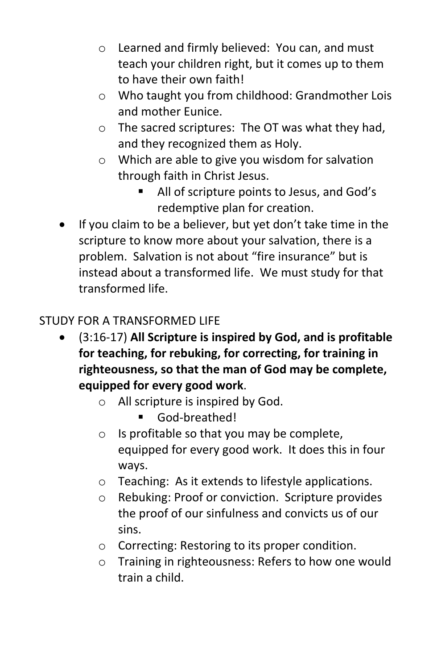- o Learned and firmly believed: You can, and must teach your children right, but it comes up to them to have their own faith!
- o Who taught you from childhood: Grandmother Lois and mother Eunice.
- o The sacred scriptures: The OT was what they had, and they recognized them as Holy.
- o Which are able to give you wisdom for salvation through faith in Christ Jesus.
	- All of scripture points to Jesus, and God's redemptive plan for creation.
- If you claim to be a believer, but yet don't take time in the scripture to know more about your salvation, there is a problem. Salvation is not about "fire insurance" but is instead about a transformed life. We must study for that transformed life.

# STUDY FOR A TRANSFORMED LIFE

- (3:16-17) **All Scripture is inspired by God, and is profitable for teaching, for rebuking, for correcting, for training in righteousness, so that the man of God may be complete, equipped for every good work**.
	- o All scripture is inspired by God.
		- God-breathed!
	- o Is profitable so that you may be complete, equipped for every good work. It does this in four ways.
	- o Teaching: As it extends to lifestyle applications.
	- o Rebuking: Proof or conviction. Scripture provides the proof of our sinfulness and convicts us of our sins.
	- o Correcting: Restoring to its proper condition.
	- o Training in righteousness: Refers to how one would train a child.